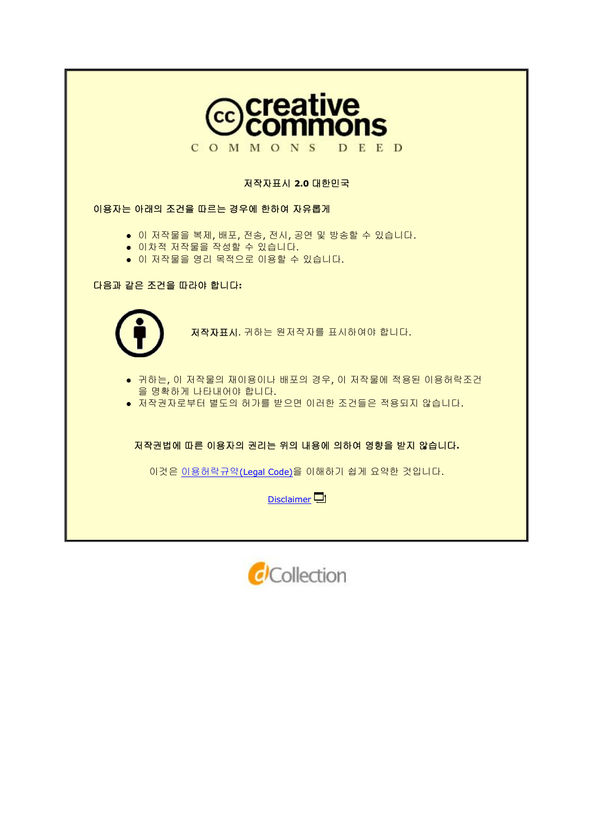

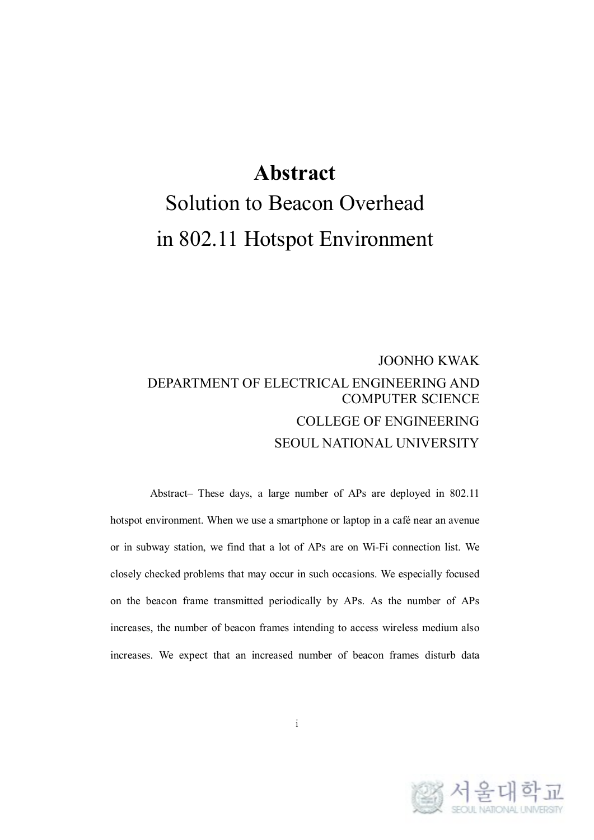# **Abstract**

# Solution to Beacon Overhead in 802.11 Hotspot Environment

#### JOONHO KWAK DEPARTMENT OF ELECTRICAL ENGINEERING AND COMPUTER SCIENCE COLLEGE OF ENGINEERING SEOUL NATIONAL UNIVERSITY

Abstract– These days, a large number of APs are deployed in 802.11 hotspot environment. When we use a smartphone or laptop in a café near an avenue or in subway station, we find that a lot of APs are on Wi-Fi connection list. We closely checked problems that may occur in such occasions. We especially focused on the beacon frame transmitted periodically by APs. As the number of APs increases, the number of beacon frames intending to access wireless medium also increases. We expect that an increased number of beacon frames disturb data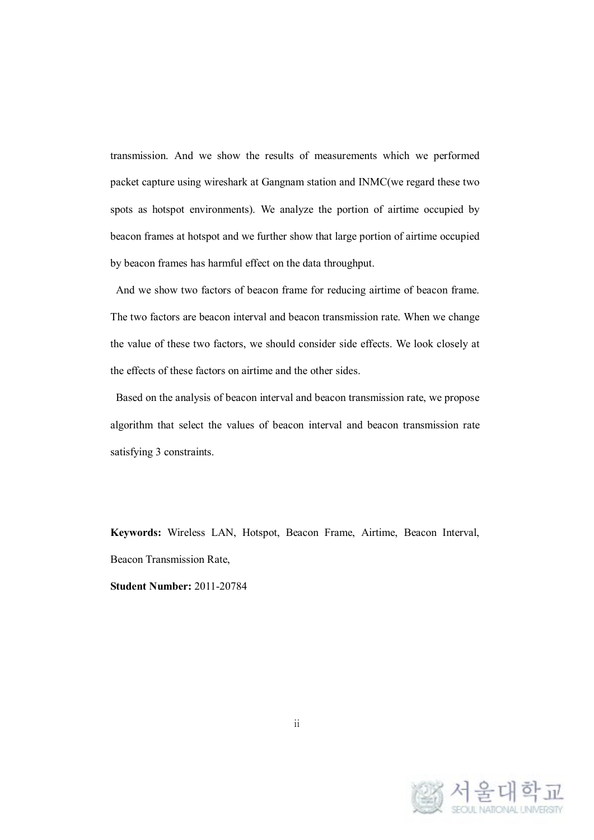transmission. And we show the results of measurements which we performed packet capture using wireshark at Gangnam station and INMC(we regard these two spots as hotspot environments). We analyze the portion of airtime occupied by beacon frames at hotspot and we further show that large portion of airtime occupied by beacon frames has harmful effect on the data throughput.

And we show two factors of beacon frame for reducing airtime of beacon frame. The two factors are beacon interval and beacon transmission rate. When we change the value of these two factors, we should consider side effects. We look closely at the effects of these factors on airtime and the other sides.

Based on the analysis of beacon interval and beacon transmission rate, we propose algorithm that select the values of beacon interval and beacon transmission rate satisfying 3 constraints.

**Keywords:** Wireless LAN, Hotspot, Beacon Frame, Airtime, Beacon Interval, Beacon Transmission Rate,

**Student Number:** 2011-20784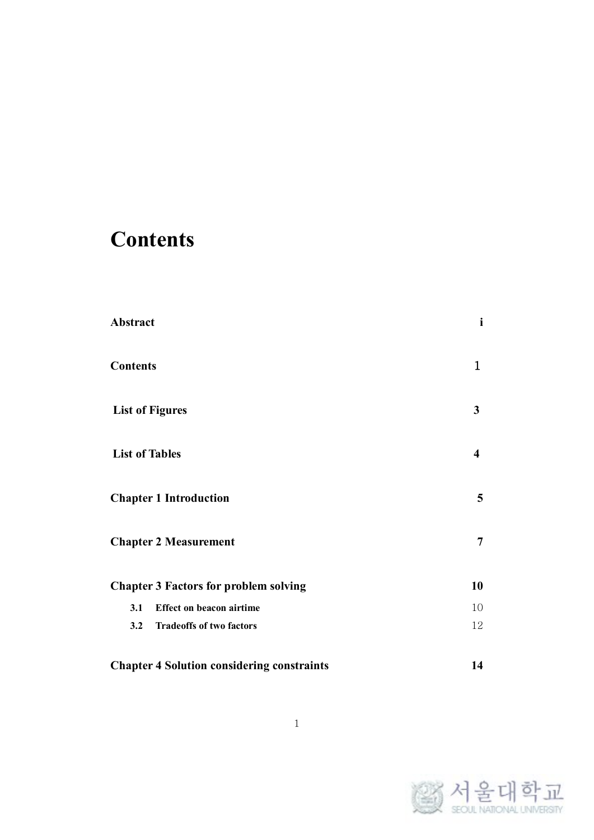# **Contents**

| Abstract                                          | $\mathbf{i}$            |
|---------------------------------------------------|-------------------------|
| <b>Contents</b>                                   | $\mathbf 1$             |
| <b>List of Figures</b>                            | 3                       |
| <b>List of Tables</b>                             | $\overline{\mathbf{4}}$ |
| <b>Chapter 1 Introduction</b>                     | 5                       |
| <b>Chapter 2 Measurement</b>                      | $\overline{7}$          |
| <b>Chapter 3 Factors for problem solving</b>      | 10                      |
| <b>Effect on beacon airtime</b><br>3.1            | 10                      |
| <b>Tradeoffs of two factors</b><br>3.2            | 12                      |
| <b>Chapter 4 Solution considering constraints</b> | 14                      |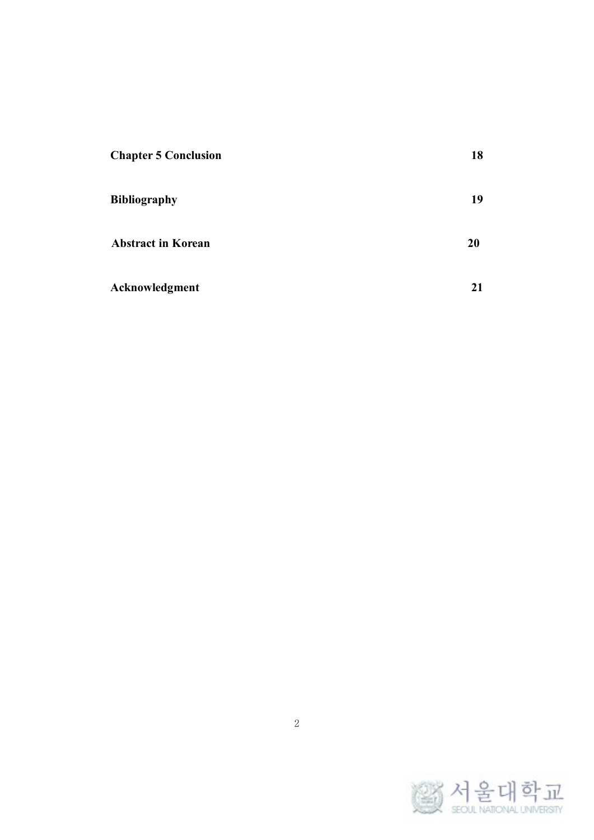| <b>Chapter 5 Conclusion</b> | 18 |
|-----------------------------|----|
| <b>Bibliography</b>         | 19 |
| <b>Abstract in Korean</b>   | 20 |
| Acknowledgment              | 21 |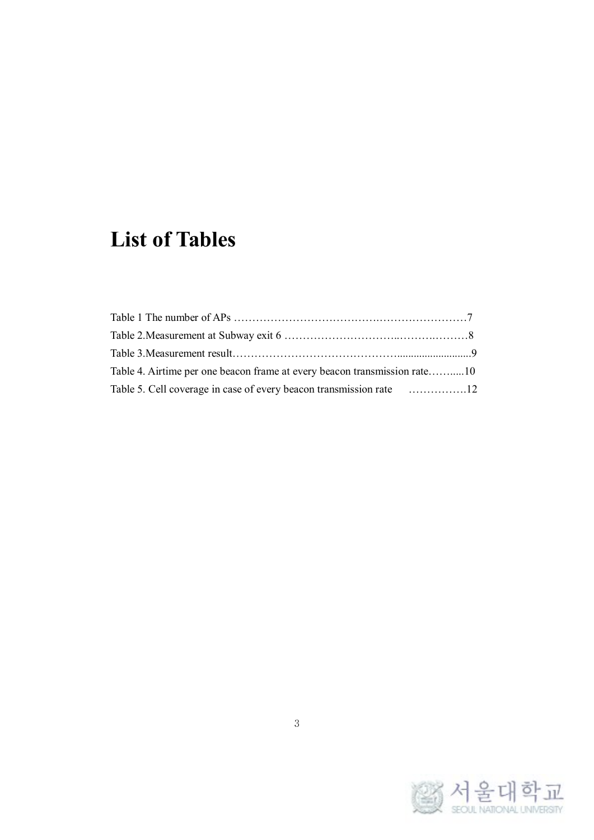# **List of Tables**

| Table 4. Airtime per one beacon frame at every beacon transmission rate10 |  |
|---------------------------------------------------------------------------|--|
| Table 5. Cell coverage in case of every beacon transmission rate 12       |  |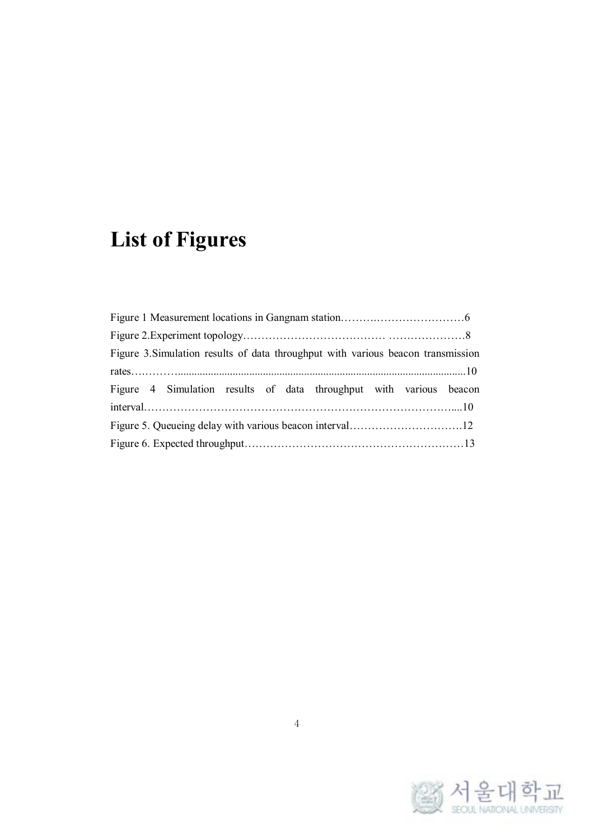# **List of Figures**

| Figure 3. Simulation results of data throughput with various beacon transmission |  |  |  |  |  |  |  |  |
|----------------------------------------------------------------------------------|--|--|--|--|--|--|--|--|
|                                                                                  |  |  |  |  |  |  |  |  |
| Figure 4 Simulation results of data throughput with various beacon               |  |  |  |  |  |  |  |  |
|                                                                                  |  |  |  |  |  |  |  |  |
|                                                                                  |  |  |  |  |  |  |  |  |
|                                                                                  |  |  |  |  |  |  |  |  |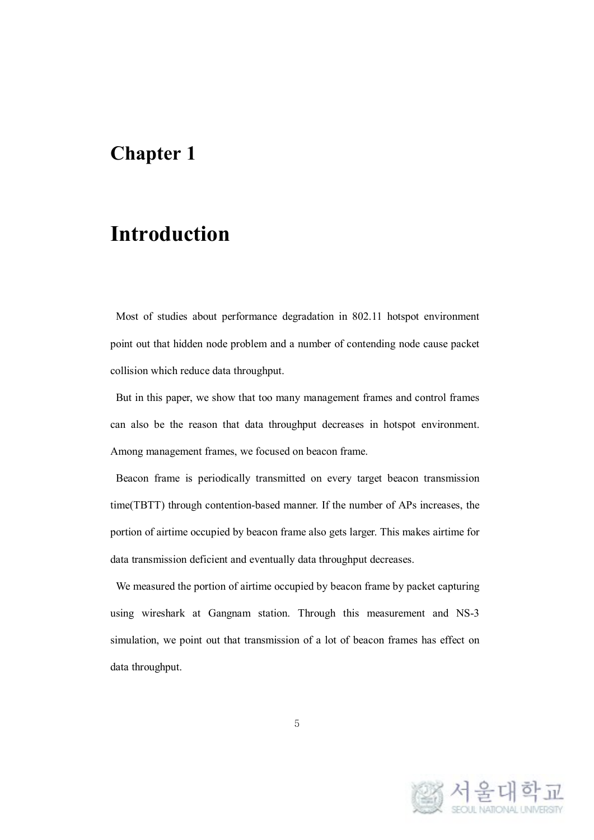### **Introduction**

Most of studies about performance degradation in 802.11 hotspot environment point out that hidden node problem and a number of contending node cause packet collision which reduce data throughput.

But in this paper, we show that too many management frames and control frames can also be the reason that data throughput decreases in hotspot environment. Among management frames, we focused on beacon frame.

Beacon frame is periodically transmitted on every target beacon transmission time(TBTT) through contention-based manner. If the number of APs increases, the portion of airtime occupied by beacon frame also gets larger. This makes airtime for data transmission deficient and eventually data throughput decreases.

We measured the portion of airtime occupied by beacon frame by packet capturing using wireshark at Gangnam station. Through this measurement and NS-3 simulation, we point out that transmission of a lot of beacon frames has effect on data throughput.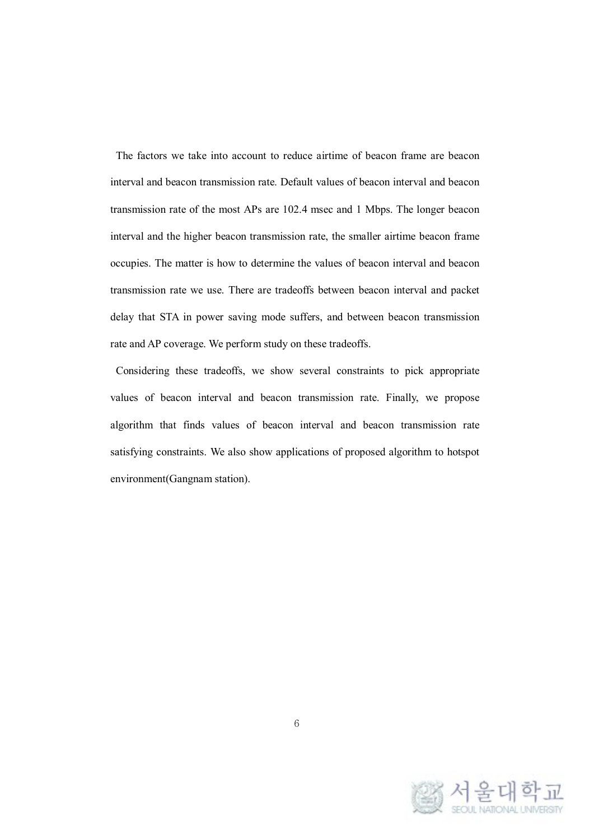The factors we take into account to reduce airtime of beacon frame are beacon interval and beacon transmission rate. Default values of beacon interval and beacon transmission rate of the most APs are 102.4 msec and 1 Mbps. The longer beacon interval and the higher beacon transmission rate, the smaller airtime beacon frame occupies. The matter is how to determine the values of beacon interval and beacon transmission rate we use. There are tradeoffs between beacon interval and packet delay that STA in power saving mode suffers, and between beacon transmission rate and AP coverage. We perform study on these tradeoffs.

Considering these tradeoffs, we show several constraints to pick appropriate values of beacon interval and beacon transmission rate. Finally, we propose algorithm that finds values of beacon interval and beacon transmission rate satisfying constraints. We also show applications of proposed algorithm to hotspot environment(Gangnam station).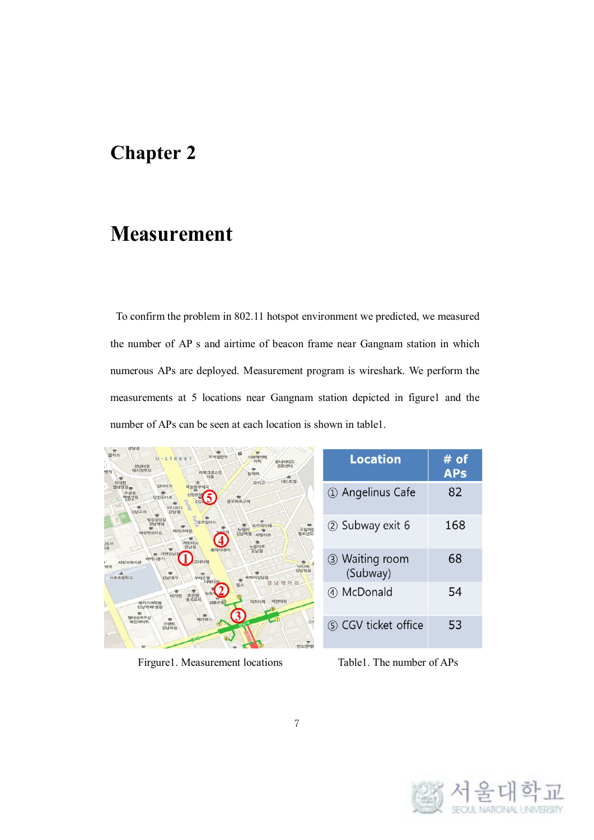## **Measurement**

To confirm the problem in 802.11 hotspot environment we predicted, we measured the number of AP s and airtime of beacon frame near Gangnam station in which numerous APs are deployed. Measurement program is wireshark. We perform the measurements at 5 locations near Gangnam station depicted in figure1 and the number of APs can be seen at each location is shown in table1.

| 강남침<br>100억카페<br>합리스<br>우리집만두<br>U-STREET<br>커피<br>유나이티드<br>문화센터<br>강남태영<br>데시앙루브<br>연가<br>리복크로스핏<br>힐까페<br>서울<br>查<br>네스트빌<br>오비고     | <b>Location</b>            | #<br>of<br><b>APs</b> |
|----------------------------------------------------------------------------------------------------------------------------------------|----------------------------|-----------------------|
| 위대한<br>耍<br>인터파크<br>역상동우체국<br>밥상영광능<br>소공동<br>오 181시<br>FHR기집<br>인킨도너츠<br>봉우화로구이<br><b>Bada</b><br>315<br>티니위니<br>÷<br>강남교자<br>강남경     | 1 Angelinus Cafe           | 82                    |
| 벌집상겹실<br><b>WESTERN</b><br>강남역점<br>토끼의지혜<br>국립어린<br>뉴델리<br>파리크리싱<br>이상만요리집<br>制入財産<br>강남역경<br>파발리온<br>지오다노<br> 위브<br> 음<br>논골마루<br>강남경 | 2 Subway exit 6            | 168                   |
| 루데시네마<br>강남경<br>➡ 가젠강님<br>하바니몽키<br>사랑의복지관<br>고디타워<br><b>DIEJOR</b><br>양국<br>강남역점<br>÷<br>w<br>서초초등학교<br>강남대가<br>우리은행<br>포베이깅남정<br>÷    | 3 Waiting room<br>(Subway) | 68                    |
| <b>GBICI</b><br>강남역거리<br>빈스<br>버거킹<br>초만원<br>중국요리<br>이즈타워<br>비전타워<br>인히 모히<br>해커스어학원<br>강남역제1별관                                        | 4) McDonald                | 54                    |
| 이기박스<br>현대성우주식<br>- G<br>÷<br>고기<br>복합이파트<br>소련토<br>강남역점<br><b>MILA OHHIL</b>                                                          | (5) CGV ticket office      | 53                    |

Firgure1. Measurement locations Table1. The number of APs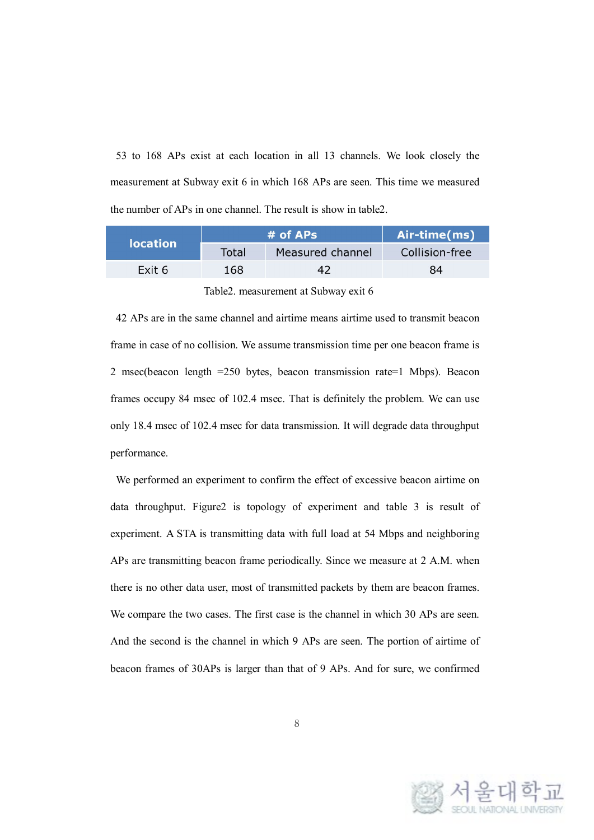53 to 168 APs exist at each location in all 13 channels. We look closely the measurement at Subway exit 6 in which 168 APs are seen. This time we measured the number of APs in one channel. The result is show in table2.

| <b>location</b> |       | $#$ of APs       | Air-time(ms)   |  |  |
|-----------------|-------|------------------|----------------|--|--|
|                 | Total | Measured channel | Collision-free |  |  |
| Exit 6          | 168   | 47               | 84             |  |  |
|                 |       |                  |                |  |  |

Table2. measurement at Subway exit 6

42 APs are in the same channel and airtime means airtime used to transmit beacon frame in case of no collision. We assume transmission time per one beacon frame is 2 msec(beacon length =250 bytes, beacon transmission rate=1 Mbps). Beacon frames occupy 84 msec of 102.4 msec. That is definitely the problem. We can use only 18.4 msec of 102.4 msec for data transmission. It will degrade data throughput performance.

We performed an experiment to confirm the effect of excessive beacon airtime on data throughput. Figure2 is topology of experiment and table 3 is result of experiment. A STA is transmitting data with full load at 54 Mbps and neighboring APs are transmitting beacon frame periodically. Since we measure at 2 A.M. when there is no other data user, most of transmitted packets by them are beacon frames. We compare the two cases. The first case is the channel in which 30 APs are seen. And the second is the channel in which 9 APs are seen. The portion of airtime of beacon frames of 30APs is larger than that of 9 APs. And for sure, we confirmed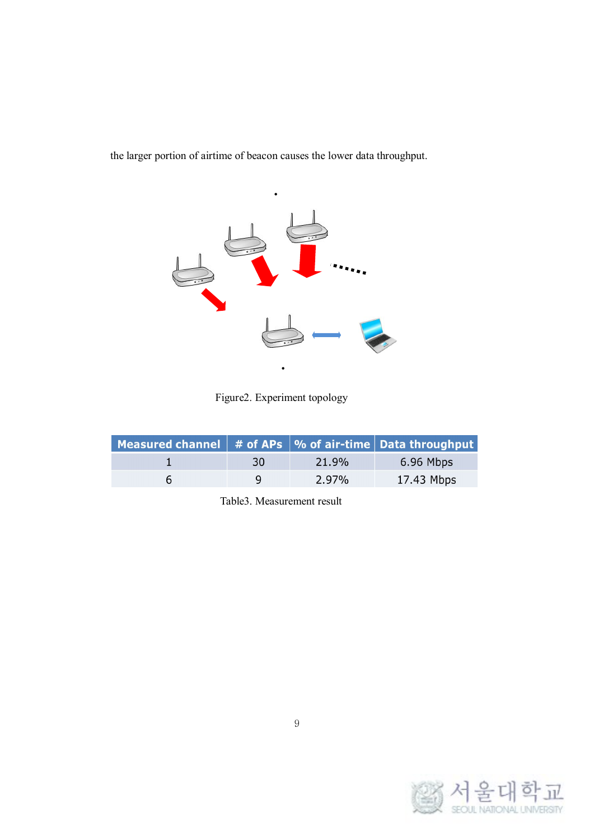the larger portion of airtime of beacon causes the lower data throughput.



Figure2. Experiment topology

| <b>Measured channel</b> $\parallel$ # of APs $\parallel$ % of air-time $\parallel$ Data throughput |    |       |            |
|----------------------------------------------------------------------------------------------------|----|-------|------------|
|                                                                                                    | 30 | 21.9% | 6.96 Mbps  |
|                                                                                                    | Q  | 2.97% | 17.43 Mbps |

Table3. Measurement result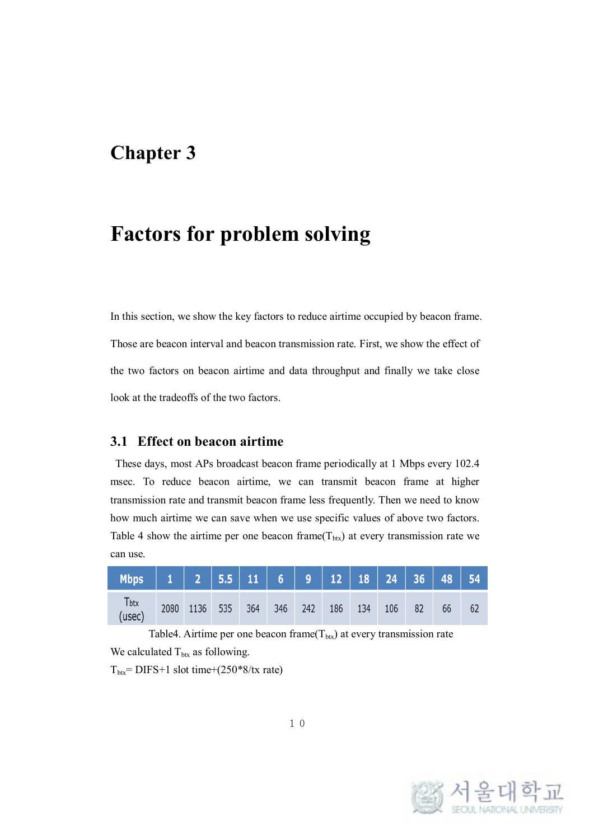#### **Factors for problem solving**

In this section, we show the key factors to reduce airtime occupied by beacon frame. Those are beacon interval and beacon transmission rate. First, we show the effect of the two factors on beacon airtime and data throughput and finally we take close look at the tradeoffs of the two factors.

#### **3.1 Effect on beacon airtime**

These days, most APs broadcast beacon frame periodically at 1 Mbps every 102.4 msec. To reduce beacon airtime, we can transmit beacon frame at higher transmission rate and transmit beacon frame less frequently. Then we need to know how much airtime we can save when we use specific values of above two factors. Table 4 show the airtime per one beacon frame  $(T_{\text{btx}})$  at every transmission rate we can use.

| T <sub>btx</sub><br>(usec) | 2080 1136 535 | 364 | 346 242 | 186 | 134 | 106 | 82 | 66 |  |
|----------------------------|---------------|-----|---------|-----|-----|-----|----|----|--|

Table4. Airtime per one beacon frame( $T_{\text{btx}}$ ) at every transmission rate We calculated  $T_{\text{btx}}$  as following.

 $T_{\text{btx}}$ = DIFS+1 slot time+(250\*8/tx rate)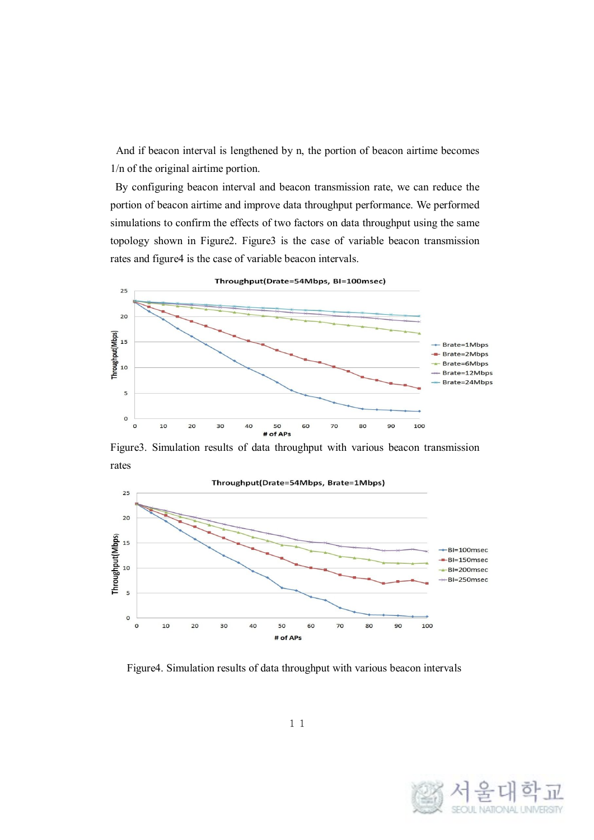And if beacon interval is lengthened by n, the portion of beacon airtime becomes 1/n of the original airtime portion.

By configuring beacon interval and beacon transmission rate, we can reduce the portion of beacon airtime and improve data throughput performance. We performed simulations to confirm the effects of two factors on data throughput using the same topology shown in Figure2. Figure3 is the case of variable beacon transmission rates and figure4 is the case of variable beacon intervals.



Figure3. Simulation results of data throughput with various beacon transmission rates



Figure4. Simulation results of data throughput with various beacon intervals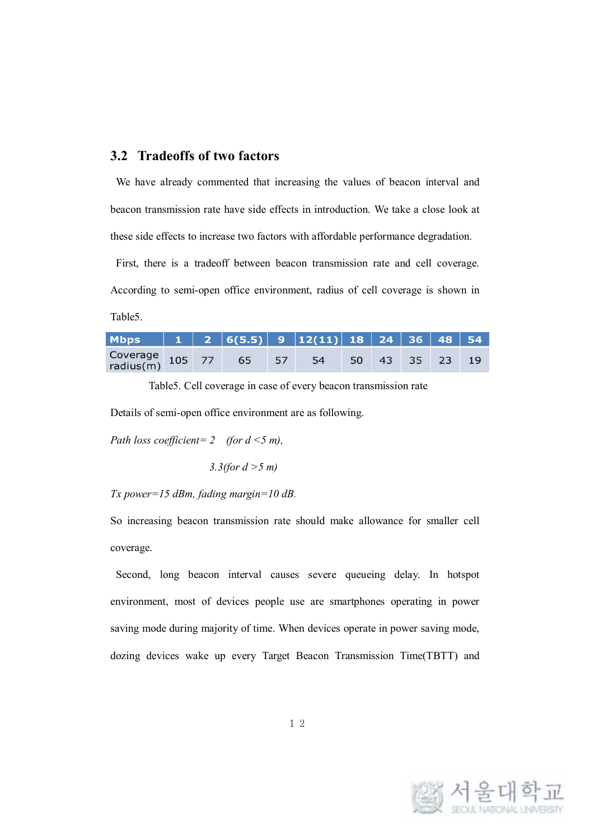#### **3.2 Tradeoffs of two factors**

We have already commented that increasing the values of beacon interval and beacon transmission rate have side effects in introduction. We take a close look at these side effects to increase two factors with affordable performance degradation.

First, there is a tradeoff between beacon transmission rate and cell coverage. According to semi-open office environment, radius of cell coverage is shown in Table5.

| Coverage 105 77 65 57 54 50 43 35 23 19 |  |  |  |  |  |
|-----------------------------------------|--|--|--|--|--|

Table5. Cell coverage in case of every beacon transmission rate

Details of semi-open office environment are as following.

*Path loss coefficient= 2 (for d <5 m),*

*3.3(for d >5 m)*

#### *Tx power=15 dBm, fading margin=10 dB.*

So increasing beacon transmission rate should make allowance for smaller cell coverage.

Second, long beacon interval causes severe queueing delay. In hotspot environment, most of devices people use are smartphones operating in power saving mode during majority of time. When devices operate in power saving mode, dozing devices wake up every Target Beacon Transmission Time(TBTT) and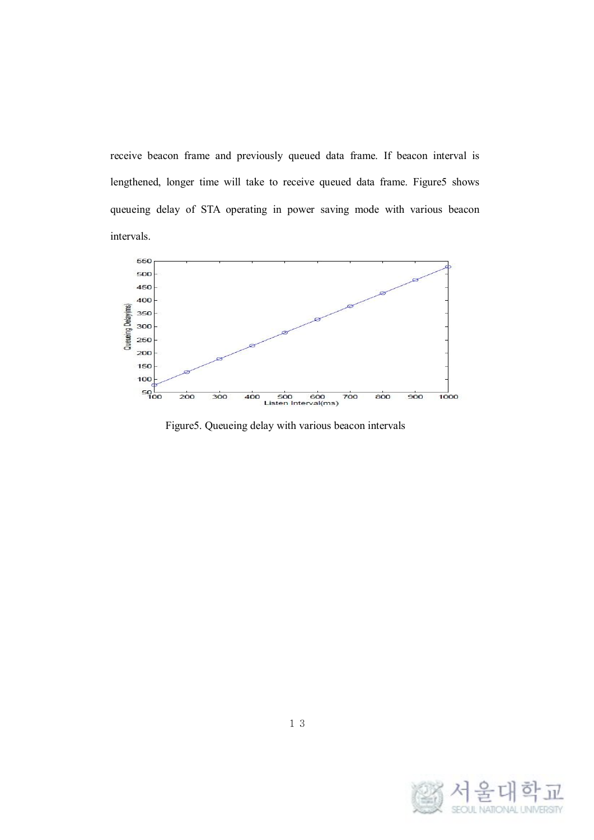receive beacon frame and previously queued data frame. If beacon interval is lengthened, longer time will take to receive queued data frame. Figure5 shows queueing delay of STA operating in power saving mode with various beacon intervals.



Figure5. Queueing delay with various beacon intervals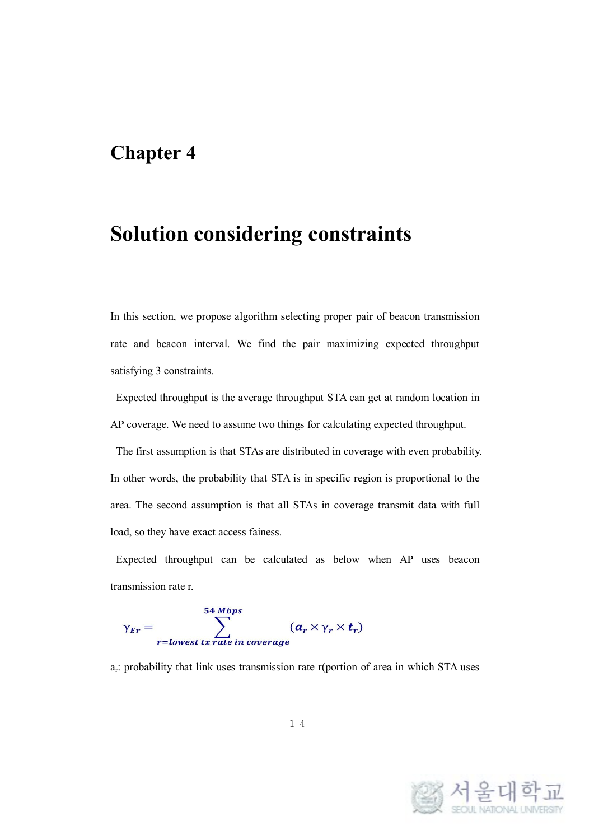### **Solution considering constraints**

In this section, we propose algorithm selecting proper pair of beacon transmission rate and beacon interval. We find the pair maximizing expected throughput satisfying 3 constraints.

Expected throughput is the average throughput STA can get at random location in AP coverage. We need to assume two things for calculating expected throughput.

The first assumption is that STAs are distributed in coverage with even probability. In other words, the probability that STA is in specific region is proportional to the area. The second assumption is that all STAs in coverage transmit data with full load, so they have exact access fainess.

Expected throughput can be calculated as below when AP uses beacon transmission rate r.

$$
\gamma_{Er} = \sum_{r=lowest\;tx\;rate\;in\;coverage}^{54\;Mbps} (a_r \times \gamma_r \times t_r)
$$

ar: probability that link uses transmission rate r(portion of area in which STA uses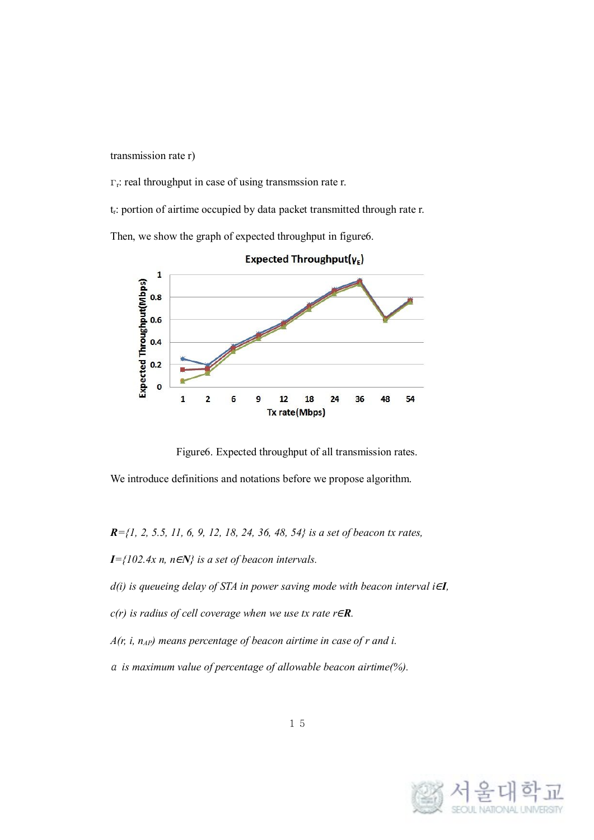transmission rate r)

 $\Gamma_r$ : real throughput in case of using transmssion rate r.

t<sub>r</sub>: portion of airtime occupied by data packet transmitted through rate r.

Then, we show the graph of expected throughput in figure6.



Expected Throughput( $\gamma_{E}$ )

Figure6. Expected throughput of all transmission rates.

We introduce definitions and notations before we propose algorithm.

*R={1, 2, 5.5, 11, 6, 9, 12, 18, 24, 36, 48, 54} is a set of beacon tx rates,*

*I={102.4x n, n*∈*N} is a set of beacon intervals.*

*d(i) is queueing delay of STA in power saving mode with beacon interval i*∈*I,*

*c(r) is radius of cell coverage when we use tx rate r*∈*R.*

*A*( $r$ ,  $i$ ,  $n_{AP}$ ) *means percentage of beacon airtime in case of*  $r$  *and*  $i$ .

<sup>α</sup> *is maximum value of percentage of allowable beacon airtime(%).*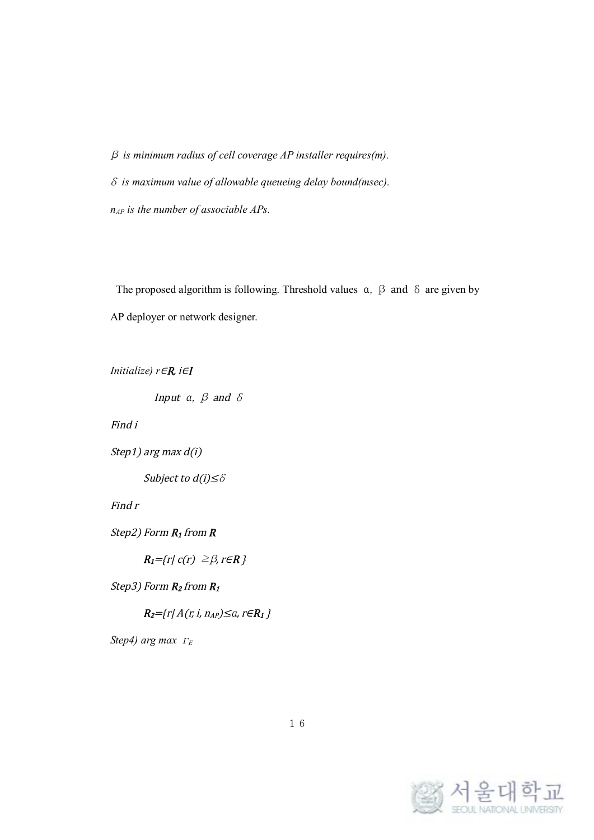β *is minimum radius of cell coverage AP installer requires(m).* δ *is maximum value of allowable queueing delay bound(msec). nAP is the number of associable APs.*

The proposed algorithm is following. Threshold values  $\alpha$ ,  $\beta$  and  $\delta$  are given by AP deployer or network designer.

```
Initialize) r∈R, i∈I
```
Input a,  $\beta$  and  $\delta$ 

Find i

Step1) arg max d(i)

Subject to  $d(i) \leq \delta$ 

Find <sup>r</sup>

Step2) Form  $R_1$  from  $R$ 

 $R_1 = \{r | c(r) \geq \beta, r \in \mathbb{R} \}$ 

Step3) Form  $R_2$  from  $R_1$ 

 $R_2 = {r | A(r, i, n_{AP}) \le a, r \in R_1 }$ 

*Step4) arg max*  $\Gamma$ E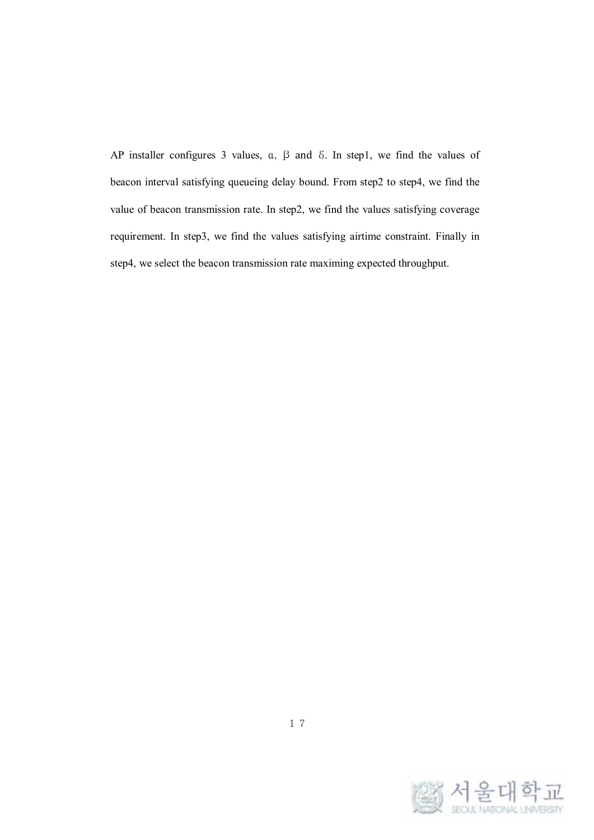AP installer configures 3 values, α, β and δ. In step1, we find the values of beacon interval satisfying queueing delay bound. From step2 to step4, we find the value of beacon transmission rate. In step2, we find the values satisfying coverage requirement. In step3, we find the values satisfying airtime constraint. Finally in step4, we select the beacon transmission rate maximing expected throughput.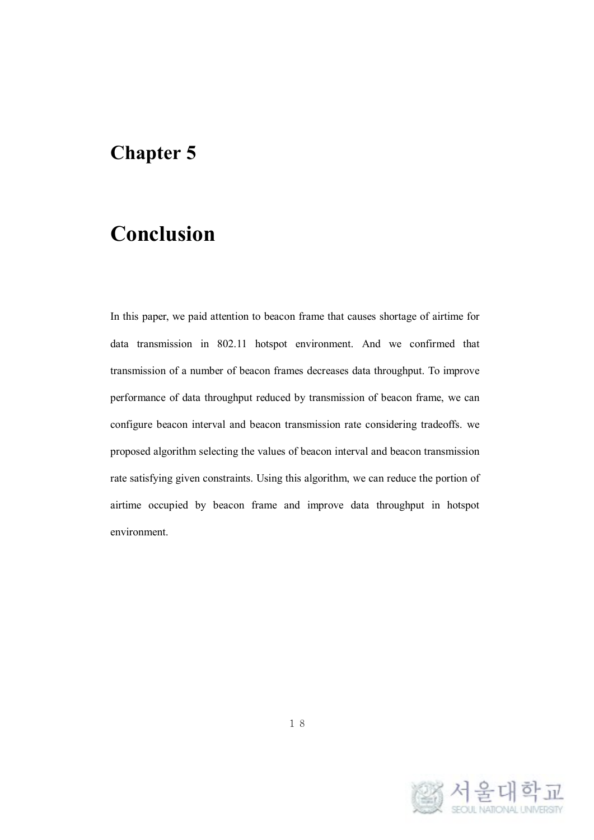# **Conclusion**

In this paper, we paid attention to beacon frame that causes shortage of airtime for data transmission in 802.11 hotspot environment. And we confirmed that transmission of a number of beacon frames decreases data throughput. To improve performance of data throughput reduced by transmission of beacon frame, we can configure beacon interval and beacon transmission rate considering tradeoffs. we proposed algorithm selecting the values of beacon interval and beacon transmission rate satisfying given constraints. Using this algorithm, we can reduce the portion of airtime occupied by beacon frame and improve data throughput in hotspot environment.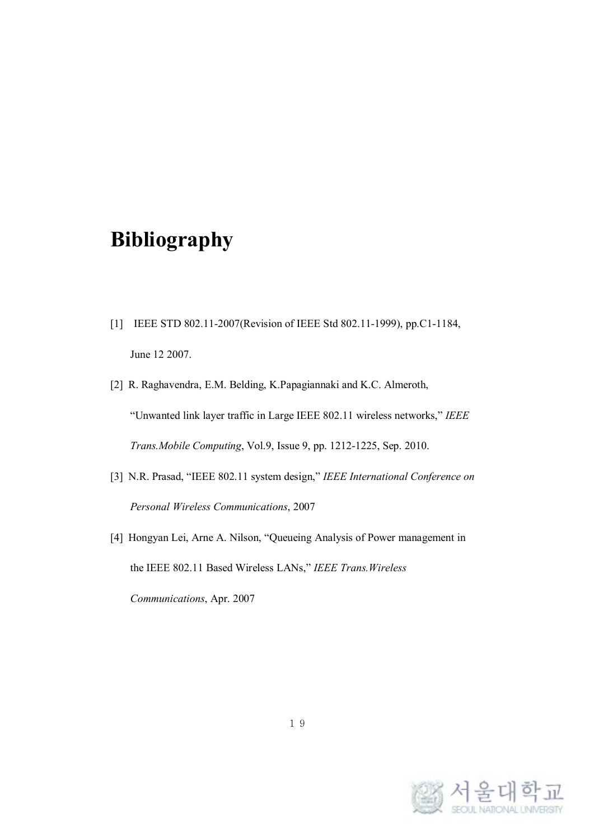# **Bibliography**

- [1] IEEE STD 802.11-2007(Revision of IEEE Std 802.11-1999), pp.C1-1184, June 12 2007.
- [2] R. Raghavendra, E.M. Belding, K.Papagiannaki and K.C. Almeroth, "Unwanted link layer traffic in Large IEEE 802.11 wireless networks," *IEEE Trans.Mobile Computing*, Vol.9, Issue 9, pp. 1212-1225, Sep. 2010.
- [3] N.R. Prasad, "IEEE 802.11 system design," *IEEE International Conference on Personal Wireless Communications*, 2007
- [4] Hongyan Lei, Arne A. Nilson, "Queueing Analysis of Power management in the IEEE 802.11 Based Wireless LANs," *IEEE Trans.Wireless Communications*, Apr. 2007